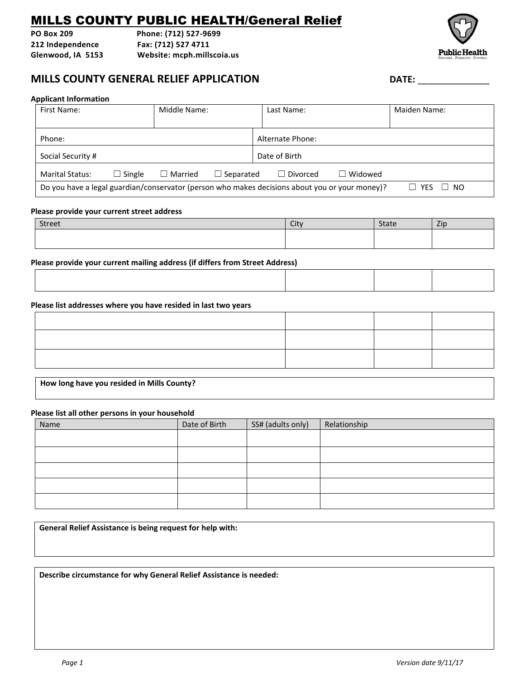# MILLS COUNTY PUBLIC HEALTH/General Relief

**PO Box 209 Phone: (712) 527-9699 212 Independence Fax: (712) 527 4711 Glenwood, IA 5153 Website: mcph.millscoia.us**



### **MILLS COUNTY GENERAL RELIEF APPLICATION DATE:** \_\_\_\_\_\_\_\_\_\_\_\_\_\_

#### **Applicant Information**

| First Name:                                                                                    |               | Middle Name:   |                  |               | Last Name:      |                    | Maiden Name: |  |
|------------------------------------------------------------------------------------------------|---------------|----------------|------------------|---------------|-----------------|--------------------|--------------|--|
|                                                                                                |               |                |                  |               |                 |                    |              |  |
| Alternate Phone:<br>Phone:                                                                     |               |                |                  |               |                 |                    |              |  |
| Social Security #                                                                              |               |                |                  | Date of Birth |                 |                    |              |  |
| <b>Marital Status:</b>                                                                         | $\Box$ Single | $\Box$ Married | $\Box$ Separated |               | $\Box$ Divorced | $\Box$ Widowed     |              |  |
| Do you have a legal guardian/conservator (person who makes decisions about you or your money)? |               |                |                  |               |                 | <b>YFS</b><br>- NO |              |  |

### **Please provide your current street address**

| <b>Street</b> | City | <b>State</b> | Zip |
|---------------|------|--------------|-----|
|               |      |              |     |
|               |      |              |     |

**Please provide your current mailing address (if differs from Street Address)**

### **Please list addresses where you have resided in last two years**

**How long have you resided in Mills County?**

#### **Please list all other persons in your household**

| Name | Date of Birth | SS# (adults only) | Relationship |
|------|---------------|-------------------|--------------|
|      |               |                   |              |
|      |               |                   |              |
|      |               |                   |              |
|      |               |                   |              |
|      |               |                   |              |

**General Relief Assistance is being request for help with:** 

**Describe circumstance for why General Relief Assistance is needed:**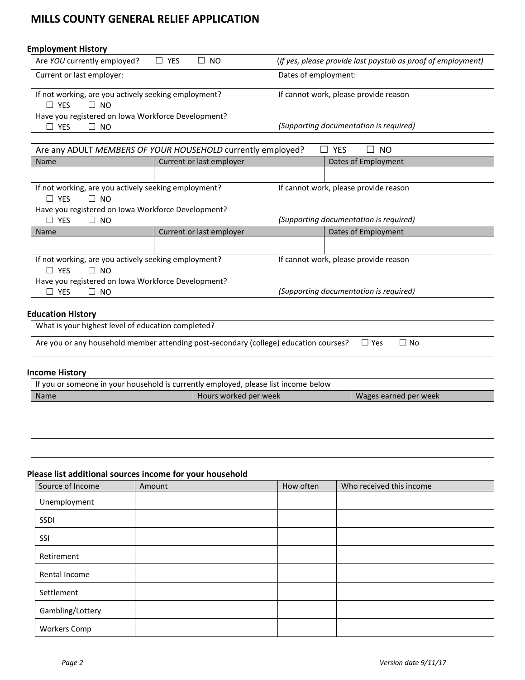# **MILLS COUNTY GENERAL RELIEF APPLICATION**

### **Employment History**

| $\Box$ YES<br>Are YOU currently employed?<br>- NO                               | (If yes, please provide last paystub as proof of employment) |
|---------------------------------------------------------------------------------|--------------------------------------------------------------|
| Current or last employer:                                                       | Dates of employment:                                         |
| If not working, are you actively seeking employment?<br>$\Box$ YFS<br>$\Box$ No | If cannot work, please provide reason                        |
| Have you registered on Iowa Workforce Development?                              |                                                              |
| <b>YES</b><br>⊥ NO                                                              | (Supporting documentation is required)                       |

| Are any ADULT MEMBERS OF YOUR HOUSEHOLD currently employed?<br>YES<br>NO. |                          |                                        |                                        |  |  |
|---------------------------------------------------------------------------|--------------------------|----------------------------------------|----------------------------------------|--|--|
| <b>Name</b>                                                               | Current or last employer |                                        | Dates of Employment                    |  |  |
|                                                                           |                          |                                        |                                        |  |  |
| If not working, are you actively seeking employment?                      |                          |                                        | If cannot work, please provide reason  |  |  |
| <b>YFS</b><br>∣ INO<br>$\mathbf{I}$                                       |                          |                                        |                                        |  |  |
| Have you registered on Iowa Workforce Development?                        |                          |                                        |                                        |  |  |
| YES<br>$\Box$ NO<br>$\Box$                                                |                          |                                        | (Supporting documentation is required) |  |  |
| <b>Name</b>                                                               | Current or last employer |                                        | Dates of Employment                    |  |  |
|                                                                           |                          |                                        |                                        |  |  |
| If not working, are you actively seeking employment?                      |                          | If cannot work, please provide reason  |                                        |  |  |
| <b>YFS</b><br>$\Box$ No<br>$\perp$                                        |                          |                                        |                                        |  |  |
| Have you registered on Iowa Workforce Development?                        |                          |                                        |                                        |  |  |
| YES<br>NO.                                                                |                          | (Supporting documentation is required) |                                        |  |  |

### **Education History**

| What is your highest level of education completed?                                    |       |      |
|---------------------------------------------------------------------------------------|-------|------|
| Are you or any household member attending post-secondary (college) education courses? | ⊥ Yes | ⊥ No |

### **Income History**

| If you or someone in your household is currently employed, please list income below |                       |                       |  |  |  |
|-------------------------------------------------------------------------------------|-----------------------|-----------------------|--|--|--|
| <b>Name</b>                                                                         | Hours worked per week | Wages earned per week |  |  |  |
|                                                                                     |                       |                       |  |  |  |
|                                                                                     |                       |                       |  |  |  |
|                                                                                     |                       |                       |  |  |  |
|                                                                                     |                       |                       |  |  |  |
|                                                                                     |                       |                       |  |  |  |
|                                                                                     |                       |                       |  |  |  |

### **Please list additional sources income for your household**

| Source of Income    | Amount | How often | Who received this income |
|---------------------|--------|-----------|--------------------------|
| Unemployment        |        |           |                          |
| SSDI                |        |           |                          |
| SSI                 |        |           |                          |
| Retirement          |        |           |                          |
| Rental Income       |        |           |                          |
| Settlement          |        |           |                          |
| Gambling/Lottery    |        |           |                          |
| <b>Workers Comp</b> |        |           |                          |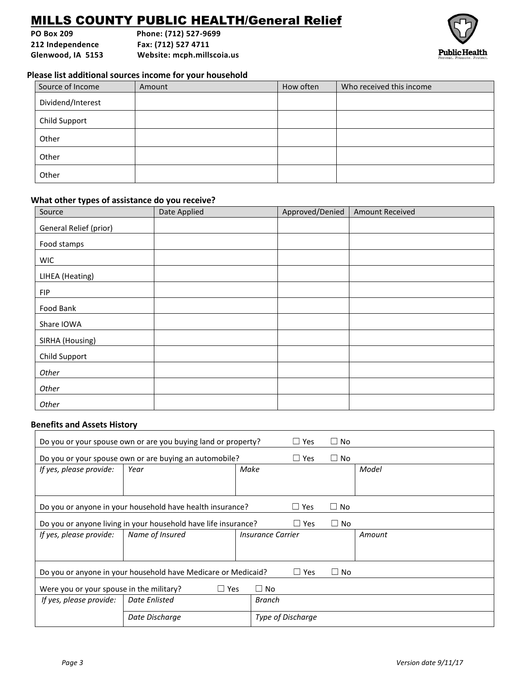# MILLS COUNTY PUBLIC HEALTH/General Relief

**PO Box 209 Phone: (712) 527-9699 212 Independence Fax: (712) 527 4711**

**Glenwood, IA 5153 Website: mcph.millscoia.us**



### **Please list additional sources income for your household**

| Source of Income  | Amount | How often | Who received this income |
|-------------------|--------|-----------|--------------------------|
| Dividend/Interest |        |           |                          |
| Child Support     |        |           |                          |
| Other             |        |           |                          |
| Other             |        |           |                          |
| Other             |        |           |                          |

### **What other types of assistance do you receive?**

| Source                 | Date Applied | Approved/Denied | <b>Amount Received</b> |
|------------------------|--------------|-----------------|------------------------|
| General Relief (prior) |              |                 |                        |
| Food stamps            |              |                 |                        |
| <b>WIC</b>             |              |                 |                        |
| LIHEA (Heating)        |              |                 |                        |
| <b>FIP</b>             |              |                 |                        |
| Food Bank              |              |                 |                        |
| Share IOWA             |              |                 |                        |
| SIRHA (Housing)        |              |                 |                        |
| Child Support          |              |                 |                        |
| Other                  |              |                 |                        |
| Other                  |              |                 |                        |
| Other                  |              |                 |                        |

### **Benefits and Assets History**

|                                                                                           | Do you or your spouse own or are you buying land or property? |                   | $\Box$ Yes                      | $\Box$ No |        |  |  |
|-------------------------------------------------------------------------------------------|---------------------------------------------------------------|-------------------|---------------------------------|-----------|--------|--|--|
|                                                                                           | Do you or your spouse own or are buying an automobile?        |                   | $\Box$ Yes                      | $\Box$ No |        |  |  |
| If yes, please provide:                                                                   | Year                                                          | Make              |                                 |           | Model  |  |  |
|                                                                                           |                                                               |                   |                                 |           |        |  |  |
| $\square$ No<br>Do you or anyone in your household have health insurance?<br>$\Box$ Yes   |                                                               |                   |                                 |           |        |  |  |
| $\Box$ No<br>Do you or anyone living in your household have life insurance?<br>$\Box$ Yes |                                                               |                   |                                 |           |        |  |  |
| If yes, please provide:                                                                   | Name of Insured                                               |                   | <i><b>Insurance Carrier</b></i> |           | Amount |  |  |
|                                                                                           |                                                               |                   |                                 |           |        |  |  |
| Do you or anyone in your household have Medicare or Medicaid?<br>$\Box$ Yes<br>$\Box$ No  |                                                               |                   |                                 |           |        |  |  |
| Were you or your spouse in the military?<br>$\Box$ Yes<br>$\Box$ No                       |                                                               |                   |                                 |           |        |  |  |
| If yes, please provide:                                                                   | Date Enlisted                                                 | Branch            |                                 |           |        |  |  |
|                                                                                           |                                                               | Type of Discharge |                                 |           |        |  |  |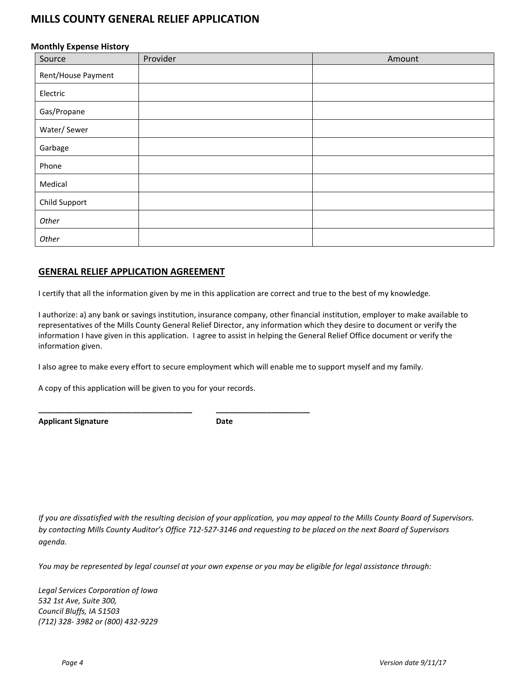# **MILLS COUNTY GENERAL RELIEF APPLICATION**

### **Monthly Expense History**

| $\sim$ $\sim$<br>$\overline{\phantom{a}}$<br>Source | Provider | Amount |
|-----------------------------------------------------|----------|--------|
| Rent/House Payment                                  |          |        |
| Electric                                            |          |        |
| Gas/Propane                                         |          |        |
| Water/Sewer                                         |          |        |
| Garbage                                             |          |        |
| Phone                                               |          |        |
| Medical                                             |          |        |
| Child Support                                       |          |        |
| Other                                               |          |        |
| Other                                               |          |        |

### **GENERAL RELIEF APPLICATION AGREEMENT**

I certify that all the information given by me in this application are correct and true to the best of my knowledge.

I authorize: a) any bank or savings institution, insurance company, other financial institution, employer to make available to representatives of the Mills County General Relief Director, any information which they desire to document or verify the information I have given in this application. I agree to assist in helping the General Relief Office document or verify the information given.

I also agree to make every effort to secure employment which will enable me to support myself and my family.

A copy of this application will be given to you for your records.

**\_\_\_\_\_\_\_\_\_\_\_\_\_\_\_\_\_\_\_\_\_\_\_\_\_\_\_\_\_\_\_\_\_\_\_\_ \_\_\_\_\_\_\_\_\_\_\_\_\_\_\_\_\_\_\_\_\_\_**

Applicant Signature **Date** 

*If you are dissatisfied with the resulting decision of your application, you may appeal to the Mills County Board of Supervisors. by contacting Mills County Auditor's Office 712-527-3146 and requesting to be placed on the next Board of Supervisors agenda.* 

*You may be represented by legal counsel at your own expense or you may be eligible for legal assistance through:*

*Legal Services Corporation of Iowa 532 1st Ave, Suite 300, Council Bluffs, IA 51503 (712) 328- 3982 or (800) 432-9229*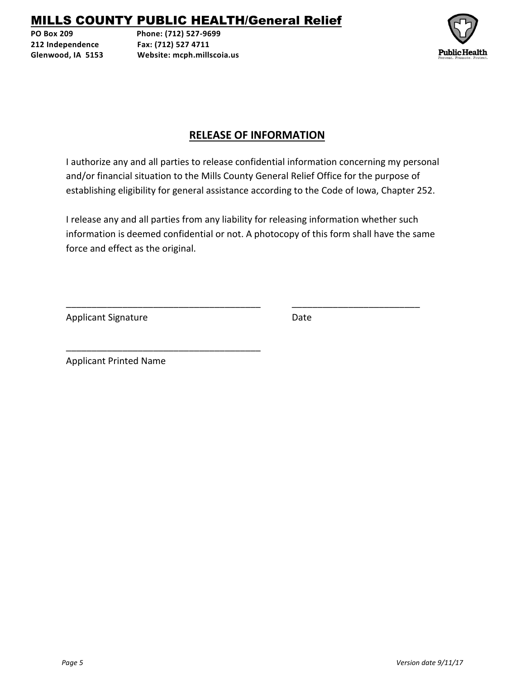# MILLS COUNTY PUBLIC HEALTH/General Relief

**PO Box 209 Phone: (712) 527-9699 212 Independence Fax: (712) 527 4711 Glenwood, IA 5153 Website: mcph.millscoia.us**



# **RELEASE OF INFORMATION**

I authorize any and all parties to release confidential information concerning my personal and/or financial situation to the Mills County General Relief Office for the purpose of establishing eligibility for general assistance according to the Code of Iowa, Chapter 252.

I release any and all parties from any liability for releasing information whether such information is deemed confidential or not. A photocopy of this form shall have the same force and effect as the original.

\_\_\_\_\_\_\_\_\_\_\_\_\_\_\_\_\_\_\_\_\_\_\_\_\_\_\_\_\_\_\_\_\_\_\_\_\_\_ \_\_\_\_\_\_\_\_\_\_\_\_\_\_\_\_\_\_\_\_\_\_\_\_\_

Applicant Signature Date

Applicant Printed Name

\_\_\_\_\_\_\_\_\_\_\_\_\_\_\_\_\_\_\_\_\_\_\_\_\_\_\_\_\_\_\_\_\_\_\_\_\_\_